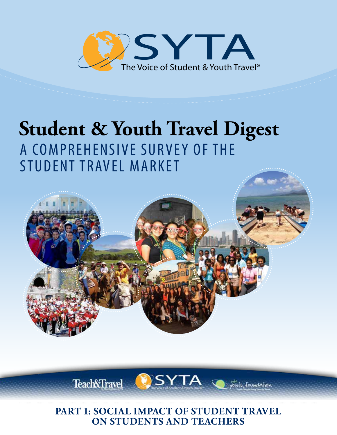

# **Student & Youth Travel Digest** A COMPREHENSIVE SURVEY OF THE STUDENT TRAVEL MARKET



**Teach&Travel** 

**SYTA** 

foundation

**PART 1: SOCIAL IMPACT OF STUDENT TRAVEL ON STUDENTS AND TEACHERS**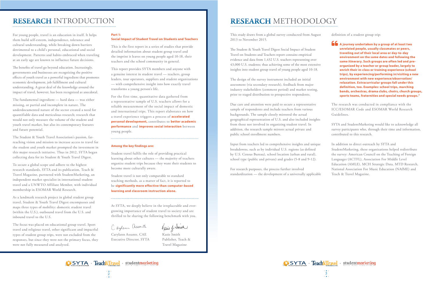For young people, travel is an education in itself. It helps them build self-esteem, independence, tolerance and cultural understanding, while breaking down barriers detrimental to a child's personal, educational and social development. Patterns and habits embraced when traveling at an early age are known to influence future decisions.

The benefits of travel go beyond education. Increasingly, governments and businesses are recognizing the positive effects of youth travel as a powerful ingredient that promotes economic development, job fulfillment and cultural understanding. A great deal of the knowledge around the impact of travel, however, has been recognized as anecdotal.

The fundamental ingredient — hard data — was either missing, or partial and incomplete in nature. The underdocumented nature of the sector created a need for quantifiable data and meticulous research; research that would not only measure the volume of the student and youth travel market, but also its contemporary features and future potential.

The Student & Youth Travel Association's passion, farreaching vision and mission to increase access to travel for the student and youth market prompted the investment in this major research initiative. Thus in 2012, SYTA began collecting data for its Student & Youth Travel Digest.

To secure a global scope and adhere to the highest research standards, SYTA and its publication, Teach & Travel Magazine, partnered with StudentMarketing, an independent market specialist in international student travel and a UNWTO Affiliate Member, with individual membership in ESOMAR World Research.

As a landmark research project in global student group travel, Student & Youth Travel Digest encompasses and maps three types of mobility: domestic student travel (within the U.S.), outbound travel from the U.S. and inbound travel to the U.S.

> Carylann Assante, CAE Kasie Smith Executive Director, SYTA Publisher, Teach &

Kasie of Imit

The focus was placed on educational group travel. Sport travel and religious travel, other significant and impactful types of student group trips, were not excluded from the responses, but since they were not the primary focus, they were not fully measured and analyzed.

### **Part 1:**

#### **Social Impact of Student Travel on Students and Teachers**

This is the first report in a series of studies that provide detailed information about student group travel and the imprint it leaves on young people aged 10-18, their teachers and the school community in general.

This report provides SYTA members and anyone with a genuine interest in student travel — teachers, group leaders, tour operators, suppliers and student organizations — with comprehensive insight into how exactly travel transforms a young person's life.

For the first time, quantitative data gathered from a representative sample of U.S. teachers allows for a reliable measurement of the social impact of domestic and international trips. This report elaborates on how a travel experience triggers a process of **accelerated personal development,** contributes to **better academic performance** and **improves social interaction** between young people.

#### **Among the key findings are:**

Student travel fulfils the role of providing practical learning about other cultures — the majority of teachers organize student trips because they want their students to become more culturally aware.

Student travel is not only comparable to standard teaching methods, as a matter of fact, it is reported to be **significantly more effective than computer-based learning and classroom instruction alone.**

**A** journey undertaken by a group of at least two people, usually classmates or peers, traveling out of their **unrelated people, usually classmates or peers,**  local area or day-to-day environment on the same dates **environment on the same dates and following the**  and following the same itinerary. Such groups are often led **same itinerary. Such groups are often led and pre**and pre-organized by a teacher or group leader, largely to **organized by a teacher or group leader, largely to enrich their in-class or training experience (school** trips), by experiencing/performing in/visiting a new **environment with new experience/observation/** groups fall under this definition, too. Examples: school trips, **definition, too. Examples: school trips, marching**  marching bands, orchestras, drama clubs, choirs, church **bands, orchestras, drama clubs, choirs, church groups,**  groups, sports teams, fraternities and special needs groups.**" sports teams, fraternities and special needs groups."traveling out of their local area or day-to-day relaxation. Extracurricular groups fall under this** 

At SYTA, we deeply believe in the irreplaceable and evergrowing importance of student travel to society and are thrilled to be sharing the following benchmark with you.

Caylann assante

Travel Magazine

 $2\overline{3}$ 

This study draws from a global survey conducted from August 2013 to November 2015.

The Student & Youth Travel Digest Social Impact of Student Travel on Students and Teachers report contains empirical evidence and data from 1,432 U.S. teachers representing over 43,000 U.S. students; thus achieving some of the most extensive insights into student group travel of young people aged 10-18.

The design of the survey instrument included an initial assessment (via secondary research), feedback from major industry stakeholders (comment period) and market testing, prior to staged distribution to prospective respondents.

Due care and attention were paid to secure a representative sample of respondents and include teachers from various backgrounds. The sample closely mirrored the actual geographical representation of U.S. and also included insights from those not involved in organizing student travel. In addition, the research sample mirrors actual private and public school enrollment numbers.

Input from teachers led to comprehensive insights and unique breakdowns, such as by individual U.S. regions (as defined by U.S. Census Bureau), school location (urban and rural), school type (public and private) and grades (5-8 and 9-12).

For research purposes, the process further involved standardization — the development of a universally applicable





#### definition of a student group trip:

The research was conducted in compliance with the ICC/ESOMAR Code and ESOMAR World Research Guidelines.

SYTA and StudentMarketing would like to acknowledge all survey participants who, through their time and information, contributed to this research.

In addition to direct outreach by SYTA and StudentMarketing, these organizations helped redistribute the survey: American Council on the Teaching of Foreign Languages (ACTFL), Association For Middle Level Education (AMLE), MCH Strategic Data, MTD Research, National Association For Music Education (NAfME) and Teach & Travel Magazine.

## **RESEARCH** INTRODUCTION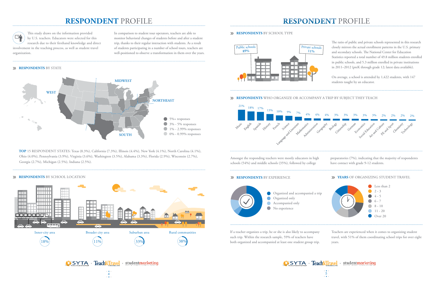## **RESPONDENT** PROFILE **RESPONDENT** PROFILE

This study draws on the information provided  $\sum_{i=1}^{n}$ by U.S. teachers. Educators were selected for this research due to their firsthand knowledge and direct involvement in the teaching process, as well as student travel organization.

#### **RESPONDENTS** BY STATE

In comparison to student tour operators, teachers are able to monitor behavioral changes of students before and after a student trip, thanks to their regular interaction with students. As a result of students participating in a number of school tours, teachers are well-positioned to observe a transformation in them over the years.

 **TOP** 15 RESPONDENT STATES: Texas (8.3%), California (7.3%), Illinois (4.4%), New York (4.1%), North Carolina (4.1%), Ohio (4.0%), Pennsylvania (3.9%), Virginia (3.6%), Washington (3.5%), Alabama (3.3%), Florida (2.9%), Wisconsin (2.7%), Georgia (2.7%), Michigan (2.5%), Indiana (2.5%).

#### **RESPONDENTS** BY SCHOOL LOCATION



The ratio of public and private schools represented in this research closely mirrors the actual enrollment patterns in the U.S. primary and secondary schools. The National Center for Education Statistics reported a total number of 49.8 million students enrolled in public schools, and 5.3 million enrolled in private institutions in 2011–2012 (preK through grade 12; latest data available).

On average, a school is attended by 1,422 students, with 147 students taught by an educator.

#### **RESPONDENTS** WHO ORGANIZE OR ACCOMPANY A TRIP BY SUBJECT THEY TEACH





**OSYTA** · Teach&Travel · studentmarketing

#### **RESPONDENTS BY SCHOOL TYPE**



Teachers are experienced when it comes to organizing student travel, with 51% of them coordinating school trips for over eight years.



 $\frac{4}{3}$ 

If a teacher organizes a trip, he or she is also likely to accompany such trip. Within the research sample, 59% of teachers have both organized and accompanied at least one student group trip.

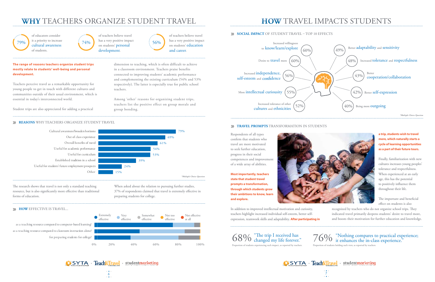## **WHY** TEACHERS ORGANIZE STUDENT TRAVEL **HOW** TRAVEL IMPACTS STUDENTS

Respondents of all types confirm that students who travel are more motivated to seek further education, progress in their social competences and improvement of a wide array of abilities.

**Most importantly, teachers state that student travel prompts a transformation, through which students grow their ambitions to know, learn and explore.** 



In addition to improved intellectual motivation and curiosity, teachers highlight increased individual self-esteem, better selfexpression, teamwork skills and adaptability. **After participating in** 

### **a trip, students wish to travel more, which naturally starts a cycle of learning opportunities as a part of their future tours.**

Finally, familiarization with new cultures increases young peoples' tolerance and respectfulness. When experienced at an early age, this has the potential to positively influence them throughout their life.

The important and beneficial effect on students is also

recognized by teachers who do not organize school trips. They indicated travel primarily deepens students' desire to travel more, and boosts their motivation for further education and knowledge.

 $\bigotimes$   $\bigotimes$   $\bigotimes$   $\bigotimes$   $\bigotimes$  changed my life forever."  $\bigotimes$   $\bigotimes$   $\bigotimes$   $\bigotimes$   $\bigotimes$  it enhances the in-class experience."  $\bigotimes$   $\bigotimes$   $\bigotimes$   $\bigotimes$   $\bigotimes$   $\bigotimes$   $\bigotimes$   $\bigotimes$   $\bigotimes$   $\bigotimes$   $\bigotimes$   $\bigotimes$   $\big$ 

## **SYTA** Teach Travel studentmarketing

#### **The range of reasons teachers organize student trips mostly relate to students' well-being and personal development.**

Teachers perceive travel as a remarkable opportunity for young people to get in touch with different cultures and communities outside of their usual environment, which is essential in today's interconnected world.

Student trips are also appreciated for adding a practical

dimension to teaching, which is often difficult to achieve in a classroom environment. Teachers praise benefits connected to improving students' academic performance and complementing the existing curriculum (54% and 53% respectively). The latter is especially true for public school teachers.



SYTA · Teach&Travel · studentmarketing

#### **SOCIAL IMPACT OF STUDENT TRAVEL – TOP 10 EFFECTS**

for preparing students for college? for preparing students for college? as a teaching resource compared to classroom instruction alone? as a teaching resource compared to classroom instruction alone? as a teaching resource compared to computer-based learning? as a teaching resource compared to computer-based learning?

Among 'other' reasons for organizing student trips, teachers list the positive effect on group morale and group bonding.

### **REASONS** WHY TEACHERS ORGANIZE STUDENT TRAVEL

of teachers believe travel has a very positive impact  $74\%$  and students' personal 56% development.

of teachers believe travel has a very positive impact on students' education and career.

The research shows that travel is not only a standard teaching resource, but is also significantly more effective than traditional forms of education.

#### **EXECTIVE IS TRAVEL...**

When asked about the relation to pursuing further studies, 37% of respondents claimed that travel is extremely effective in preparing students for college.



Proportion of students experiencing such impact, as reported by teachers.







#### **TRAVEL PROMPTS** TRANSFORMATION IN STUDENTS

79%



of educators consider it a priority to increase cultural awareness of students.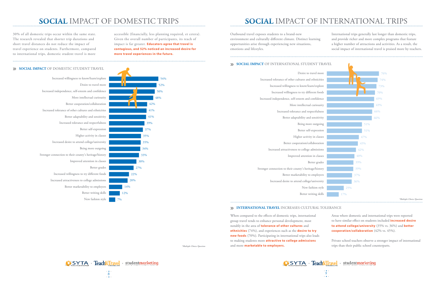

| Desire to travel more                                  |
|--------------------------------------------------------|
| Increased tolerance of other cultures and ethnicities  |
| Increased willingness to know/learn/explore            |
| Increased willingness to try different foods           |
| Increased independence, self-esteem and confidence     |
| More intellectual curiousity                           |
| Increased tolerance and respectfulness                 |
| Better adaptability and sensitivity                    |
| Being more outgoing                                    |
| Better self-expression                                 |
| Higher activity in classes                             |
| Better cooperation/collaboration                       |
| Increased attractiveness to college admissions         |
| Improved attention in classes                          |
| Better grades                                          |
| Stronger connection to their county's heritage/history |
| Better marketability to employers                      |
| Increased desire to attend college/university          |
| New fashion style                                      |
| Better writing skills                                  |
|                                                        |

### **INTERNATIONAL TRAVEL INCREASES CULTURAL TOLERANCE**

37% 39% 41% 41% 42%

### **SOCIAL IMPACT** OF DOMESTIC STUDENT TRAVEL

48% 50%

52% 54%



## **SOCIAL** IMPACT OF DOMESTIC TRIPS **SOCIAL** IMPACT OF INTERNATIONAL TRIPS



30% of all domestic trips occur within the same state. The research revealed that shorter trip durations and short travel distances do not reduce the impact of travel experience on students. Furthermore, compared to international trips, domestic student travel is more accessible (financially, less planning required, et cetera). Given the overall number of participants, its reach of impact is far greater. **Educators agree that travel is contagious, and 52% noticed an increased desire for more travel experiences in the future.** 

Outbound travel exposes students to a brand-new environment and culturally different climate. Distinct learning opportunities arise through experiencing new situations, emotions and lifestyles.

### **SOCIAL IMPACT OF INTERNATIONAL STUDENT TRAVEL**

International trips generally last longer than domestic trips, and provide richer and more complex programs that feature a higher number of attractions and activities. As a result, the social impact of international travel is praised more by teachers.

When compared to the effects of domestic trips, international group travel tends to enhance personal development, most notably in the area of **tolerance of other cultures** and **ethnicities** (74%), and experiences such as the **desire to try new foods** (70%). Participating in international trips also leads to making students more **attractive to college admissions** and more **marketable to employers.**

Areas where domestic and international trips were reported to have similar effect on students included **increased desire to attend college/university** (35% vs. 36%) and **better cooperation/collaboration** (42% vs. 45%).

Private school teachers observe a stronger impact of international trips than their public school counterparts.

*\*Multiple Choice Question*



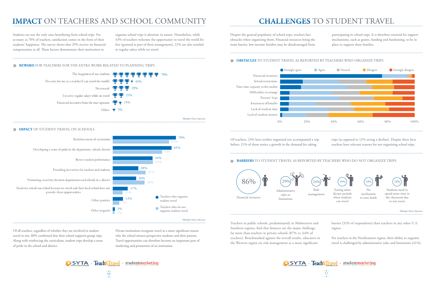



## **IMPACT** ON TEACHERS AND SCHOOL COMMUNITY **CHALLENGES** TO STUDENT TRAVEL

Of teachers, 23% have neither organized nor accompanied a trip before; 21% of them notice a growth in the demand for taking

trips (as opposed to 12% seeing a decline). Despite these facts teachers have relevant reasons for not organizing school trips.

Despite the general popularity of school trips, teachers face obstacles when organizing them. Financial resources being the main barrier, low-income families may be disadvantaged from

participating in school trips. It is therefore essential for support mechanisms, such as grants, funding and fundraising, to be in place to support these families.



Students are not the only ones benefitting from school trips. For as many as 78% of teachers, satisfaction comes in the form of their students' happiness. The survey shows that 29% receive no financial compensation at all. These factors demonstrate their motivation to



organize school trips is altruistic in nature. Nonetheless, while 43% of teachers welcome the opportunity to travel the world for free (granted as part of their arrangement), 21% are also entitled to regular salary while on travel.



Of all teachers, regardless of whether they are involved in student travel or not, 80% confirmed that their school supports group trips. Along with reinforcing the curriculum, student trips develop a sense of pride in the school and district.

Private institutions recognize travel as a more significant reason why the school attracts prospective students and their parents. Travel opportunities can therefore become an important part of marketing and promotion of an institution.

#### **REWARD** FOR TEACHERS FOR THE EXTRA WORK RELATED TO PLANNING TRIPS

### **OBSTACLES** TO STUDENT TRAVEL AS REPORTED BY TEACHERS WHO ORGANIZE TRIPS

#### **BARRIERS** TO STUDENT TRAVEL AS REPORTED BY TEACHERS WHO DO NOT ORGANIZE TRIPS

Teachers in public schools, predominantly in Midwestern and Southern regions, find that finances are the major challenge, far more than teachers in private schools (87% vs. 64% of teachers). Benchmarked against the overall results, educators in the Western region see risk management as a more significant region. For teachers in the Northeastern region, their ability to organize travel is challenged by administrative rules and limitations (41%).

barrier (32% of respondents) than teachers in any other U.S.

# • studentmarketing



*\*Multiple Choice Question*

#### **IMPACT** OF STUDENT TRAVEL ON SCHOOLS